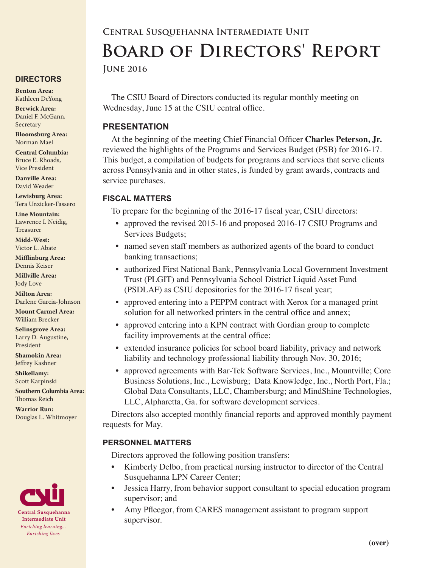# **DIRECTORS**

**Benton Area:** Kathleen DeYong

**Berwick Area:** Daniel F. McGann, Secretary

**Bloomsburg Area:**  Norman Mael

**Central Columbia:** Bruce E. Rhoads, Vice President

**Danville Area:** David Weader

**Lewisburg Area:** Tera Unzicker-Fassero

**Line Mountain:** Lawrence I. Neidig, Treasurer

**Midd-West:**  Victor L. Abate

**Mifflinburg Area:** Dennis Keiser

**Millville Area:** Jody Love

**Milton Area:** Darlene Garcia-Johnson

**Mount Carmel Area:**  William Brecker

**Selinsgrove Area:**  Larry D. Augustine, President

**Shamokin Area:** Jeffrey Kashner

**Shikellamy:**  Scott Karpinski

**Southern Columbia Area:** Thomas Reich

**Warrior Run:** Douglas L. Whitmoyer



# **Central Susquehanna Intermediate Unit Board of Directors' Report**

**June 2016**

The CSIU Board of Directors conducted its regular monthly meeting on Wednesday, June 15 at the CSIU central office.

### **PRESENTATION**

At the beginning of the meeting Chief Financial Officer **Charles Peterson, Jr.** reviewed the highlights of the Programs and Services Budget (PSB) for 2016-17. This budget, a compilation of budgets for programs and services that serve clients across Pennsylvania and in other states, is funded by grant awards, contracts and service purchases.

### **FISCAL MATTERS**

To prepare for the beginning of the 2016-17 fiscal year, CSIU directors:

- approved the revised 2015-16 and proposed 2016-17 CSIU Programs and Services Budgets;
- named seven staff members as authorized agents of the board to conduct banking transactions;
- authorized First National Bank, Pennsylvania Local Government Investment Trust (PLGIT) and Pennsylvania School District Liquid Asset Fund (PSDLAF) as CSIU depositories for the 2016-17 fiscal year;
- approved entering into a PEPPM contract with Xerox for a managed print solution for all networked printers in the central office and annex;
- approved entering into a KPN contract with Gordian group to complete facility improvements at the central office;
- extended insurance policies for school board liability, privacy and network liability and technology professional liability through Nov. 30, 2016;
- approved agreements with Bar-Tek Software Services, Inc., Mountville; Core Business Solutions, Inc., Lewisburg; Data Knowledge, Inc., North Port, Fla.; Global Data Consultants, LLC, Chambersburg; and MindShine Technologies, LLC, Alpharetta, Ga. for software development services.

Directors also accepted monthly financial reports and approved monthly payment requests for May.

## **PERSONNEL MATTERS**

Directors approved the following position transfers:

- Kimberly Delbo, from practical nursing instructor to director of the Central Susquehanna LPN Career Center;
- Jessica Harry, from behavior support consultant to special education program supervisor; and
- Amy Pfleegor, from CARES management assistant to program support supervisor.